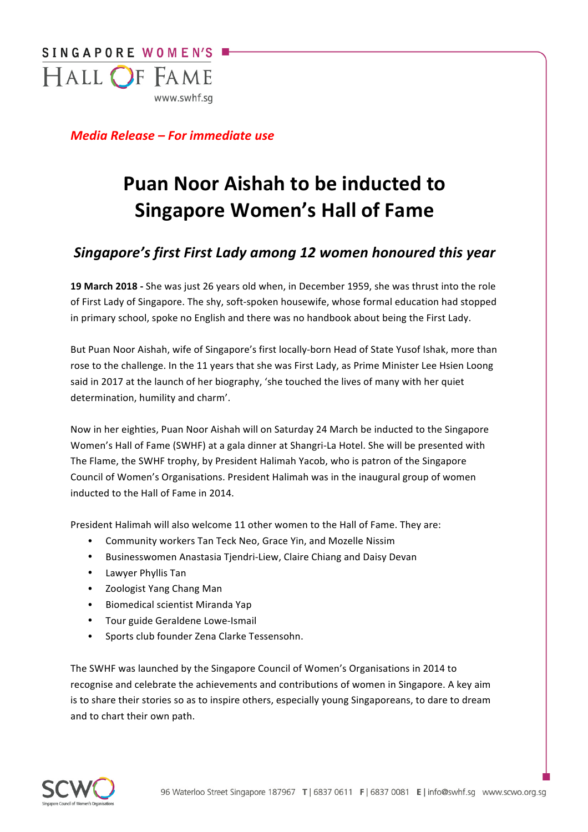

*Media Release – For immediate use* 

# **Puan Noor Aishah to be inducted to Singapore Women's Hall of Fame**

# *Singapore's first First Lady among 12 women honoured this year*

**19 March 2018** - She was just 26 years old when, in December 1959, she was thrust into the role of First Lady of Singapore. The shy, soft-spoken housewife, whose formal education had stopped in primary school, spoke no English and there was no handbook about being the First Lady.

But Puan Noor Aishah, wife of Singapore's first locally-born Head of State Yusof Ishak, more than rose to the challenge. In the 11 years that she was First Lady, as Prime Minister Lee Hsien Loong said in 2017 at the launch of her biography, 'she touched the lives of many with her quiet determination, humility and charm'.

Now in her eighties, Puan Noor Aishah will on Saturday 24 March be inducted to the Singapore Women's Hall of Fame (SWHF) at a gala dinner at Shangri-La Hotel. She will be presented with The Flame, the SWHF trophy, by President Halimah Yacob, who is patron of the Singapore Council of Women's Organisations. President Halimah was in the inaugural group of women inducted to the Hall of Fame in 2014.

President Halimah will also welcome 11 other women to the Hall of Fame. They are:

- Community workers Tan Teck Neo, Grace Yin, and Mozelle Nissim
- Businesswomen Anastasia Tjendri-Liew, Claire Chiang and Daisy Devan
- Lawyer Phyllis Tan
- Zoologist Yang Chang Man
- Biomedical scientist Miranda Yap
- Tour guide Geraldene Lowe-Ismail
- Sports club founder Zena Clarke Tessensohn.

The SWHF was launched by the Singapore Council of Women's Organisations in 2014 to recognise and celebrate the achievements and contributions of women in Singapore. A key aim is to share their stories so as to inspire others, especially young Singaporeans, to dare to dream and to chart their own path.

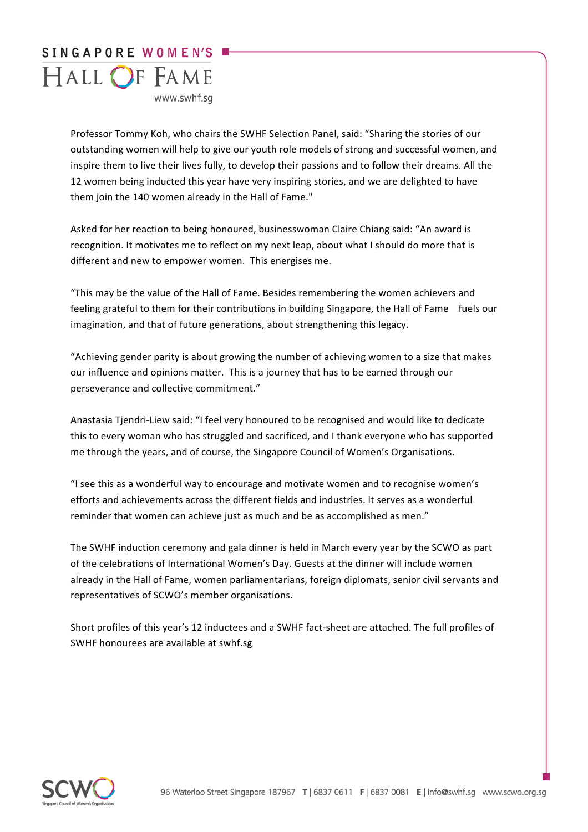# SINGAPORE WOMEN'S HALL OF FAME www.swhf.sa

Professor Tommy Koh, who chairs the SWHF Selection Panel, said: "Sharing the stories of our outstanding women will help to give our youth role models of strong and successful women, and inspire them to live their lives fully, to develop their passions and to follow their dreams. All the 12 women being inducted this year have very inspiring stories, and we are delighted to have them join the 140 women already in the Hall of Fame."

Asked for her reaction to being honoured, businesswoman Claire Chiang said: "An award is recognition. It motivates me to reflect on my next leap, about what I should do more that is different and new to empower women. This energises me.

"This may be the value of the Hall of Fame. Besides remembering the women achievers and feeling grateful to them for their contributions in building Singapore, the Hall of Fame fuels our imagination, and that of future generations, about strengthening this legacy.

"Achieving gender parity is about growing the number of achieving women to a size that makes our influence and opinions matter. This is a journey that has to be earned through our perseverance and collective commitment."

Anastasia Tjendri-Liew said: "I feel very honoured to be recognised and would like to dedicate this to every woman who has struggled and sacrificed, and I thank everyone who has supported me through the years, and of course, the Singapore Council of Women's Organisations.

"I see this as a wonderful way to encourage and motivate women and to recognise women's efforts and achievements across the different fields and industries. It serves as a wonderful reminder that women can achieve just as much and be as accomplished as men."

The SWHF induction ceremony and gala dinner is held in March every year by the SCWO as part of the celebrations of International Women's Day. Guests at the dinner will include women already in the Hall of Fame, women parliamentarians, foreign diplomats, senior civil servants and representatives of SCWO's member organisations.

Short profiles of this year's 12 inductees and a SWHF fact-sheet are attached. The full profiles of SWHF honourees are available at swhf.sg

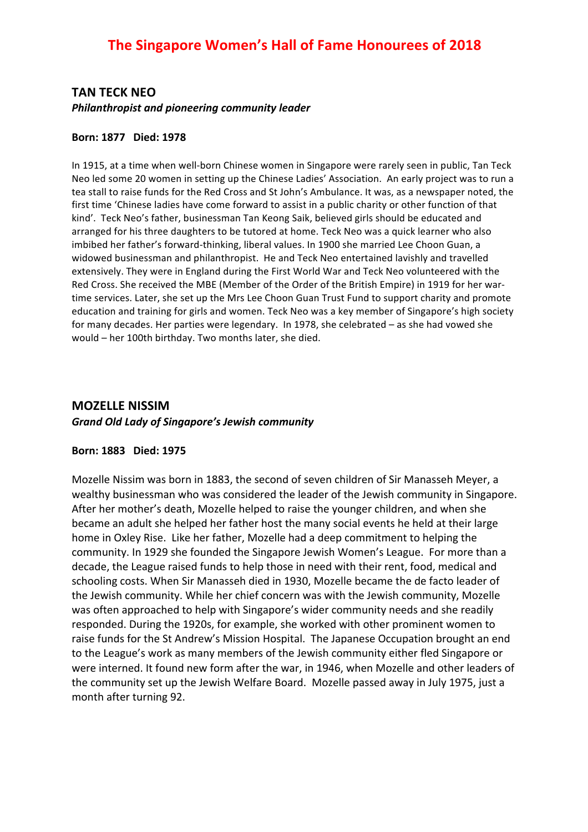# **TAN TECK NEO Philanthropist and pioneering community leader**

#### **Born: 1877 Died: 1978**

In 1915, at a time when well-born Chinese women in Singapore were rarely seen in public, Tan Teck Neo led some 20 women in setting up the Chinese Ladies' Association. An early project was to run a tea stall to raise funds for the Red Cross and St John's Ambulance. It was, as a newspaper noted, the first time 'Chinese ladies have come forward to assist in a public charity or other function of that kind'. Teck Neo's father, businessman Tan Keong Saik, believed girls should be educated and arranged for his three daughters to be tutored at home. Teck Neo was a quick learner who also imbibed her father's forward-thinking, liberal values. In 1900 she married Lee Choon Guan, a widowed businessman and philanthropist. He and Teck Neo entertained lavishly and travelled extensively. They were in England during the First World War and Teck Neo volunteered with the Red Cross. She received the MBE (Member of the Order of the British Empire) in 1919 for her wartime services. Later, she set up the Mrs Lee Choon Guan Trust Fund to support charity and promote education and training for girls and women. Teck Neo was a key member of Singapore's high society for many decades. Her parties were legendary. In 1978, she celebrated - as she had vowed she would – her 100th birthday. Two months later, she died.

# **MOZELLE NISSIM** *Grand Old Lady of Singapore's Jewish community*

#### **Born: 1883 Died: 1975**

Mozelle Nissim was born in 1883, the second of seven children of Sir Manasseh Meyer, a wealthy businessman who was considered the leader of the Jewish community in Singapore. After her mother's death, Mozelle helped to raise the younger children, and when she became an adult she helped her father host the many social events he held at their large home in Oxley Rise. Like her father, Mozelle had a deep commitment to helping the community. In 1929 she founded the Singapore Jewish Women's League. For more than a decade, the League raised funds to help those in need with their rent, food, medical and schooling costs. When Sir Manasseh died in 1930, Mozelle became the de facto leader of the Jewish community. While her chief concern was with the Jewish community, Mozelle was often approached to help with Singapore's wider community needs and she readily responded. During the 1920s, for example, she worked with other prominent women to raise funds for the St Andrew's Mission Hospital. The Japanese Occupation brought an end to the League's work as many members of the Jewish community either fled Singapore or were interned. It found new form after the war, in 1946, when Mozelle and other leaders of the community set up the Jewish Welfare Board. Mozelle passed away in July 1975, just a month after turning 92.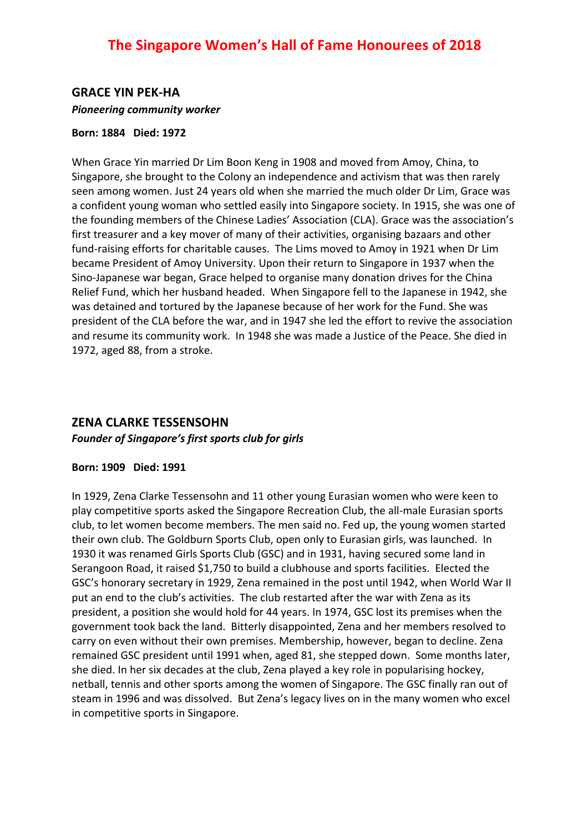# **GRACE YIN PEK-HA Pioneering community worker**

## **Born: 1884 Died: 1972**

When Grace Yin married Dr Lim Boon Keng in 1908 and moved from Amoy, China, to Singapore, she brought to the Colony an independence and activism that was then rarely seen among women. Just 24 years old when she married the much older Dr Lim, Grace was a confident young woman who settled easily into Singapore society. In 1915, she was one of the founding members of the Chinese Ladies' Association (CLA). Grace was the association's first treasurer and a key mover of many of their activities, organising bazaars and other fund-raising efforts for charitable causes. The Lims moved to Amoy in 1921 when Dr Lim became President of Amoy University. Upon their return to Singapore in 1937 when the Sino-Japanese war began, Grace helped to organise many donation drives for the China Relief Fund, which her husband headed. When Singapore fell to the Japanese in 1942, she was detained and tortured by the Japanese because of her work for the Fund. She was president of the CLA before the war, and in 1947 she led the effort to revive the association and resume its community work. In 1948 she was made a Justice of the Peace. She died in 1972, aged 88, from a stroke.

# **ZENA CLARKE TESSENSOHN**

Founder of Singapore's first sports club for girls

## **Born: 1909 Died: 1991**

In 1929, Zena Clarke Tessensohn and 11 other young Eurasian women who were keen to play competitive sports asked the Singapore Recreation Club, the all-male Eurasian sports club, to let women become members. The men said no. Fed up, the young women started their own club. The Goldburn Sports Club, open only to Eurasian girls, was launched. In 1930 it was renamed Girls Sports Club (GSC) and in 1931, having secured some land in Serangoon Road, it raised \$1,750 to build a clubhouse and sports facilities. Elected the GSC's honorary secretary in 1929, Zena remained in the post until 1942, when World War II put an end to the club's activities. The club restarted after the war with Zena as its president, a position she would hold for 44 years. In 1974, GSC lost its premises when the government took back the land. Bitterly disappointed, Zena and her members resolved to carry on even without their own premises. Membership, however, began to decline. Zena remained GSC president until 1991 when, aged 81, she stepped down. Some months later, she died. In her six decades at the club, Zena played a key role in popularising hockey, netball, tennis and other sports among the women of Singapore. The GSC finally ran out of steam in 1996 and was dissolved. But Zena's legacy lives on in the many women who excel in competitive sports in Singapore.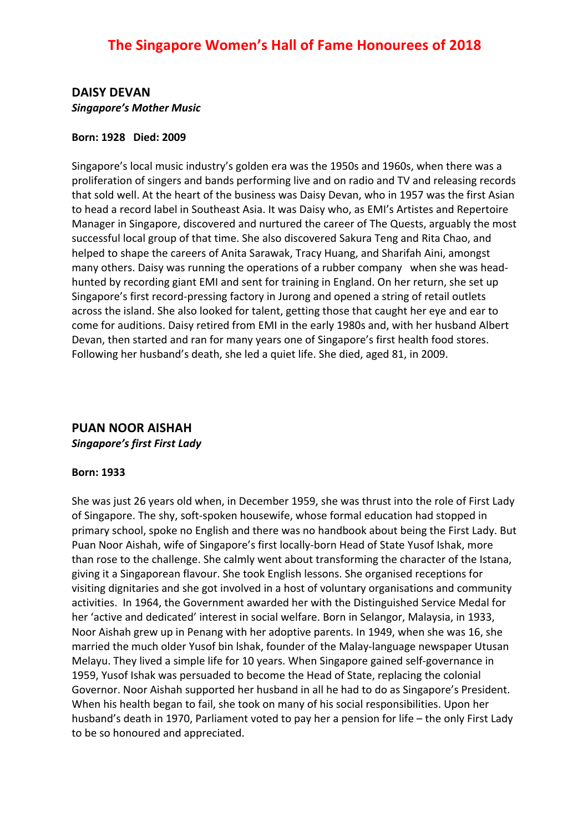# **DAISY DEVAN** *Singapore's Mother Music*

## **Born: 1928 Died: 2009**

Singapore's local music industry's golden era was the 1950s and 1960s, when there was a proliferation of singers and bands performing live and on radio and TV and releasing records that sold well. At the heart of the business was Daisy Devan, who in 1957 was the first Asian to head a record label in Southeast Asia. It was Daisy who, as EMI's Artistes and Repertoire Manager in Singapore, discovered and nurtured the career of The Quests, arguably the most successful local group of that time. She also discovered Sakura Teng and Rita Chao, and helped to shape the careers of Anita Sarawak, Tracy Huang, and Sharifah Aini, amongst many others. Daisy was running the operations of a rubber company when she was headhunted by recording giant EMI and sent for training in England. On her return, she set up Singapore's first record-pressing factory in Jurong and opened a string of retail outlets across the island. She also looked for talent, getting those that caught her eye and ear to come for auditions. Daisy retired from EMI in the early 1980s and, with her husband Albert Devan, then started and ran for many years one of Singapore's first health food stores. Following her husband's death, she led a quiet life. She died, aged 81, in 2009.

# **PUAN NOOR AISHAH**

*Singapore's first First Lady*

## **Born: 1933**

She was just 26 years old when, in December 1959, she was thrust into the role of First Lady of Singapore. The shy, soft-spoken housewife, whose formal education had stopped in primary school, spoke no English and there was no handbook about being the First Lady. But Puan Noor Aishah, wife of Singapore's first locally-born Head of State Yusof Ishak, more than rose to the challenge. She calmly went about transforming the character of the Istana, giving it a Singaporean flavour. She took English lessons. She organised receptions for visiting dignitaries and she got involved in a host of voluntary organisations and community activities. In 1964, the Government awarded her with the Distinguished Service Medal for her 'active and dedicated' interest in social welfare. Born in Selangor, Malaysia, in 1933, Noor Aishah grew up in Penang with her adoptive parents. In 1949, when she was 16, she married the much older Yusof bin Ishak, founder of the Malay-language newspaper Utusan Melayu. They lived a simple life for 10 years. When Singapore gained self-governance in 1959, Yusof Ishak was persuaded to become the Head of State, replacing the colonial Governor. Noor Aishah supported her husband in all he had to do as Singapore's President. When his health began to fail, she took on many of his social responsibilities. Upon her husband's death in 1970, Parliament voted to pay her a pension for life – the only First Lady to be so honoured and appreciated.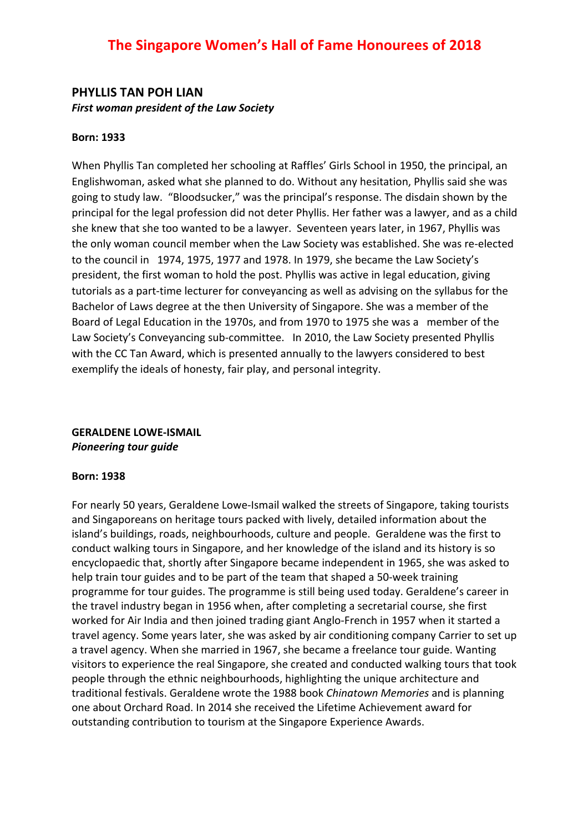# The Singapore Women's Hall of Fame Honourees of 2018

## **PHYLLIS TAN POH LIAN First woman president of the Law Society**

#### **Born: 1933**

When Phyllis Tan completed her schooling at Raffles' Girls School in 1950, the principal, an Englishwoman, asked what she planned to do. Without any hesitation, Phyllis said she was going to study law. "Bloodsucker," was the principal's response. The disdain shown by the principal for the legal profession did not deter Phyllis. Her father was a lawyer, and as a child she knew that she too wanted to be a lawyer. Seventeen years later, in 1967, Phyllis was the only woman council member when the Law Society was established. She was re-elected to the council in 1974, 1975, 1977 and 1978. In 1979, she became the Law Society's president, the first woman to hold the post. Phyllis was active in legal education, giving tutorials as a part-time lecturer for conveyancing as well as advising on the syllabus for the Bachelor of Laws degree at the then University of Singapore. She was a member of the Board of Legal Education in the 1970s, and from 1970 to 1975 she was a member of the Law Society's Conveyancing sub-committee. In 2010, the Law Society presented Phyllis with the CC Tan Award, which is presented annually to the lawyers considered to best exemplify the ideals of honesty, fair play, and personal integrity.

## **GERALDENE LOWE-ISMAIL** *Pioneering tour guide*

#### **Born: 1938**

For nearly 50 years, Geraldene Lowe-Ismail walked the streets of Singapore, taking tourists and Singaporeans on heritage tours packed with lively, detailed information about the island's buildings, roads, neighbourhoods, culture and people. Geraldene was the first to conduct walking tours in Singapore, and her knowledge of the island and its history is so encyclopaedic that, shortly after Singapore became independent in 1965, she was asked to help train tour guides and to be part of the team that shaped a 50-week training programme for tour guides. The programme is still being used today. Geraldene's career in the travel industry began in 1956 when, after completing a secretarial course, she first worked for Air India and then joined trading giant Anglo-French in 1957 when it started a travel agency. Some years later, she was asked by air conditioning company Carrier to set up a travel agency. When she married in 1967, she became a freelance tour guide. Wanting visitors to experience the real Singapore, she created and conducted walking tours that took people through the ethnic neighbourhoods, highlighting the unique architecture and traditional festivals. Geraldene wrote the 1988 book *Chinatown Memories* and is planning one about Orchard Road. In 2014 she received the Lifetime Achievement award for outstanding contribution to tourism at the Singapore Experience Awards.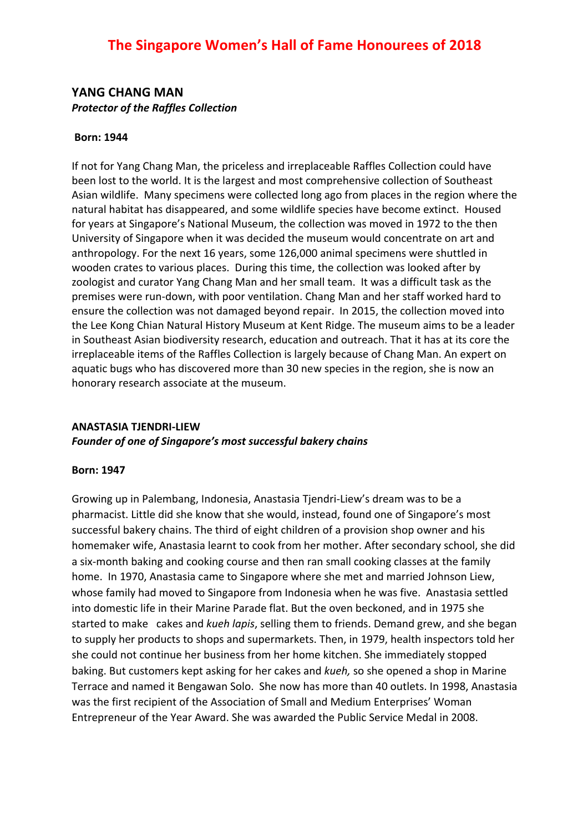# **YANG CHANG MAN Protector of the Raffles Collection**

### **Born: 1944**

If not for Yang Chang Man, the priceless and irreplaceable Raffles Collection could have been lost to the world. It is the largest and most comprehensive collection of Southeast Asian wildlife. Many specimens were collected long ago from places in the region where the natural habitat has disappeared, and some wildlife species have become extinct. Housed for years at Singapore's National Museum, the collection was moved in 1972 to the then University of Singapore when it was decided the museum would concentrate on art and anthropology. For the next 16 years, some 126,000 animal specimens were shuttled in wooden crates to various places. During this time, the collection was looked after by zoologist and curator Yang Chang Man and her small team. It was a difficult task as the premises were run-down, with poor ventilation. Chang Man and her staff worked hard to ensure the collection was not damaged beyond repair. In 2015, the collection moved into the Lee Kong Chian Natural History Museum at Kent Ridge. The museum aims to be a leader in Southeast Asian biodiversity research, education and outreach. That it has at its core the irreplaceable items of the Raffles Collection is largely because of Chang Man. An expert on aquatic bugs who has discovered more than 30 new species in the region, she is now an honorary research associate at the museum.

# **ANASTASIA TJENDRI-LIEW** Founder of one of Singapore's most successful bakery chains

#### **Born: 1947**

Growing up in Palembang, Indonesia, Anastasia Tjendri-Liew's dream was to be a pharmacist. Little did she know that she would, instead, found one of Singapore's most successful bakery chains. The third of eight children of a provision shop owner and his homemaker wife, Anastasia learnt to cook from her mother. After secondary school, she did a six-month baking and cooking course and then ran small cooking classes at the family home. In 1970, Anastasia came to Singapore where she met and married Johnson Liew, whose family had moved to Singapore from Indonesia when he was five. Anastasia settled into domestic life in their Marine Parade flat. But the oven beckoned, and in 1975 she started to make cakes and *kueh lapis*, selling them to friends. Demand grew, and she began to supply her products to shops and supermarkets. Then, in 1979, health inspectors told her she could not continue her business from her home kitchen. She immediately stopped baking. But customers kept asking for her cakes and *kueh*, so she opened a shop in Marine Terrace and named it Bengawan Solo. She now has more than 40 outlets. In 1998, Anastasia was the first recipient of the Association of Small and Medium Enterprises' Woman Entrepreneur of the Year Award. She was awarded the Public Service Medal in 2008.